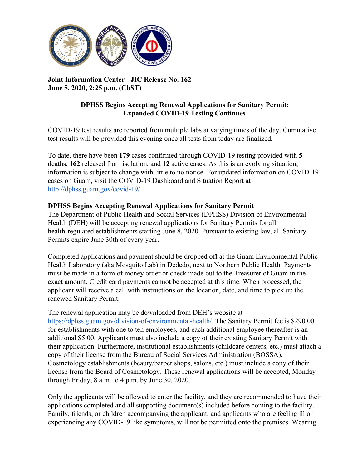

**Joint Information Center - JIC Release No. 162 June 5, 2020, 2:25 p.m. (ChST)**

## **DPHSS Begins Accepting Renewal Applications for Sanitary Permit; Expanded COVID-19 Testing Continues**

COVID-19 test results are reported from multiple labs at varying times of the day. Cumulative test results will be provided this evening once all tests from today are finalized.

To date, there have been **179** cases confirmed through COVID-19 testing provided with **5** deaths, **162** released from isolation, and **12** active cases. As this is an evolving situation, information is subject to change with little to no notice. For updated information on COVID-19 cases on Guam, visit the COVID-19 Dashboard and Situation Report at [http://dphss.guam.gov/covid-19/.](http://dphss.guam.gov/covid-19/)

## **DPHSS Begins Accepting Renewal Applications for Sanitary Permit**

The Department of Public Health and Social Services (DPHSS) Division of Environmental Health (DEH) will be accepting renewal applications for Sanitary Permits for all health-regulated establishments starting June 8, 2020. Pursuant to existing law, all Sanitary Permits expire June 30th of every year.

Completed applications and payment should be dropped off at the Guam Environmental Public Health Laboratory (aka Mosquito Lab) in Dededo, next to Northern Public Health. Payments must be made in a form of money order or check made out to the Treasurer of Guam in the exact amount. Credit card payments cannot be accepted at this time. When processed, the applicant will receive a call with instructions on the location, date, and time to pick up the renewed Sanitary Permit.

The renewal application may be downloaded from DEH's website at <https://dphss.guam.gov/division-of-environmental-health/>. The Sanitary Permit fee is \$290.00 for establishments with one to ten employees, and each additional employee thereafter is an additional \$5.00. Applicants must also include a copy of their existing Sanitary Permit with their application. Furthermore, institutional establishments (childcare centers, etc.) must attach a copy of their license from the Bureau of Social Services Administration (BOSSA). Cosmetology establishments (beauty/barber shops, salons, etc.) must include a copy of their license from the Board of Cosmetology. These renewal applications will be accepted, Monday through Friday, 8 a.m. to 4 p.m. by June 30, 2020.

Only the applicants will be allowed to enter the facility, and they are recommended to have their applications completed and all supporting document(s) included before coming to the facility. Family, friends, or children accompanying the applicant, and applicants who are feeling ill or experiencing any COVID-19 like symptoms, will not be permitted onto the premises. Wearing